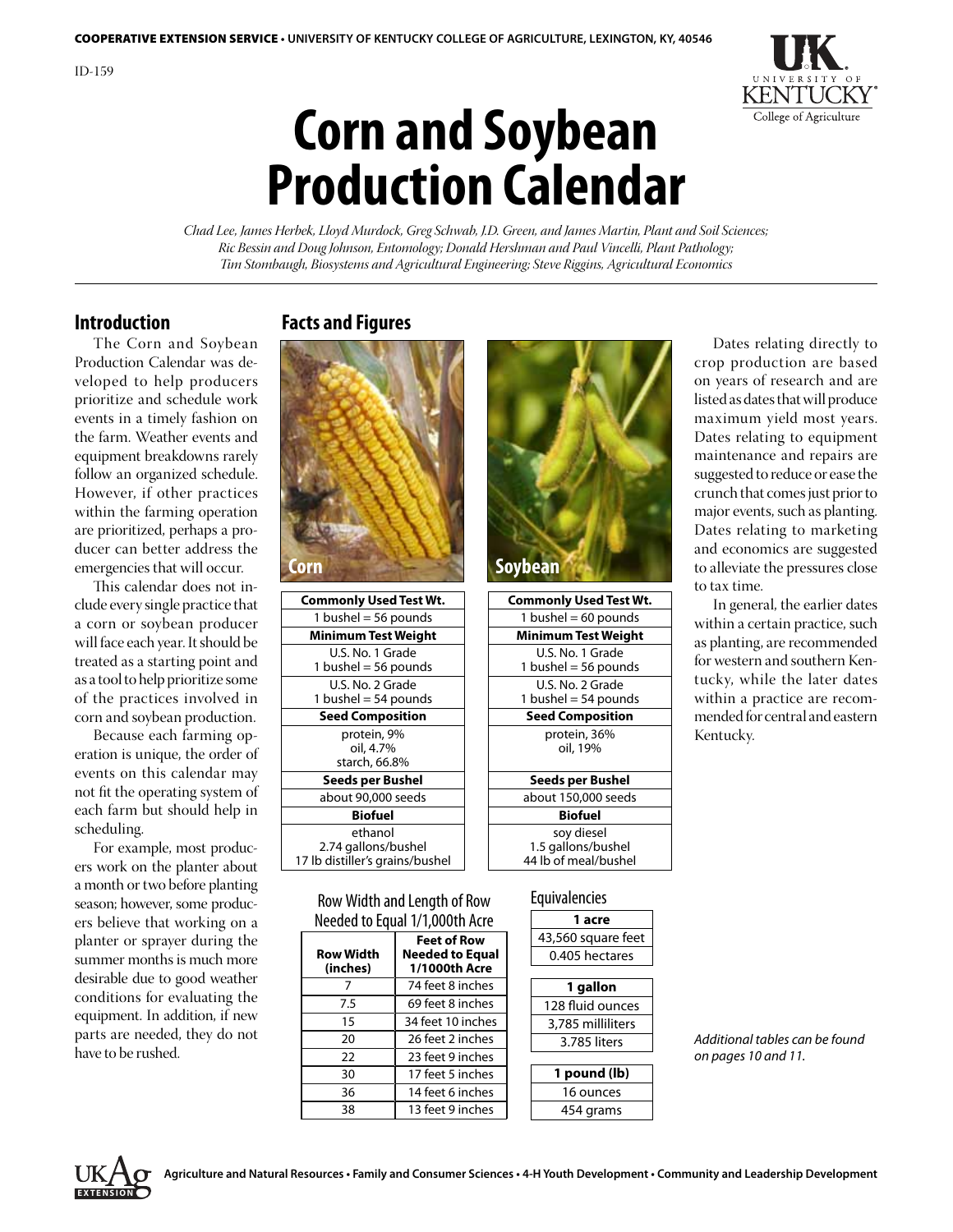

# **Corn and Soybean Production Calendar**

*Chad Lee, James Herbek, Lloyd Murdock, Greg Schwab, J.D. Green, and James Martin, Plant and Soil Sciences; Ric Bessin and Doug Johnson, Entomology; Donald Hershman and Paul Vincelli, Plant Pathology; Tim Stombaugh, Biosystems and Agricultural Engineering; Steve Riggins, Agricultural Economics*

#### **Introduction**

 The Corn and Soybean Production Calendar was developed to help producers prioritize and schedule work events in a timely fashion on the farm. Weather events and equipment breakdowns rarely follow an organized schedule. However, if other practices within the farming operation are prioritized, perhaps a producer can better address the emergencies that will occur.

 This calendar does not include every single practice that a corn or soybean producer will face each year. It should be treated as a starting point and as a tool to help prioritize some of the practices involved in corn and soybean production.

 Because each farming operation is unique, the order of events on this calendar may not fit the operating system of each farm but should help in scheduling.

 For example, most producers work on the planter about a month or two before planting season; however, some producers believe that working on a planter or sprayer during the summer months is much more desirable due to good weather conditions for evaluating the equipment. In addition, if new parts are needed, they do not have to be rushed.

## **Facts and Figures**



| COMMONITY USEN TEST WIL                                           | COMMONITY USEG TEST IV                                   |
|-------------------------------------------------------------------|----------------------------------------------------------|
| 1 bushel = $56$ pounds                                            | 1 bushel = $60$ pounds                                   |
| <b>Minimum Test Weight</b>                                        | <b>Minimum Test Weight</b>                               |
| U.S. No. 1 Grade<br>1 bushel = $56$ pounds                        | U.S. No. 1 Grade<br>1 bushel = $56$ pounds               |
| U.S. No. 2 Grade<br>1 bushel = $54$ pounds                        | U.S. No. 2 Grade<br>1 bushel = $54$ pounds               |
| <b>Seed Composition</b>                                           | <b>Seed Composition</b>                                  |
| protein, 9%<br>oil, 4.7%<br>starch, 66.8%                         | protein, 36%<br>oil, 19%                                 |
| Seeds per Bushel                                                  | Seeds per Bushel                                         |
| about 90,000 seeds                                                | about 150,000 seeds                                      |
| <b>Biofuel</b>                                                    | <b>Biofuel</b>                                           |
| ethanol<br>2.74 gallons/bushel<br>17 lb distiller's grains/bushel | soy diesel<br>1.5 gallons/bushel<br>44 lb of meal/bushel |
|                                                                   |                                                          |

| <b>Soybean</b>                             |
|--------------------------------------------|
| <b>Commonly Used Test Wt.</b>              |
| 1 bushel = $60$ pounds                     |
| Minimum Test Weight                        |
| U.S. No. 1 Grade<br>1 bushel = $56$ pounds |
| U.S. No. 2 Grade                           |

1 bushel  $=$  54 pounds **Seed Composition** protein, 36% oil, 19% **Seeds per Bushel Seeds per Bushel** about 150,000 seeds **Biofuel Biofuel** soy diesel 1.5 gallons/bushel 44 lb of meal/bushel

 Dates relating directly to crop production are based on years of research and are listed as dates that will produce maximum yield most years. Dates relating to equipment maintenance and repairs are suggested to reduce or ease the crunch that comesjust priorto major events, such as planting. Dates relating to marketing and economics are suggested to alleviate the pressures close to tax time.

 In general, the earlier dates within a certain practice, such as planting, are recommended for western and southern Kentucky, while the later dates within a practice are recommended for central and eastern Kentucky.

Row Width and Length of Row Needed to Equal 1/1,000th Acre

| <b>Row Width</b><br>(inches) | <b>Feet of Row</b><br>Needed to Equal<br>1/1000th Acre |
|------------------------------|--------------------------------------------------------|
|                              | 74 feet 8 inches                                       |
| 7.5                          | 69 feet 8 inches                                       |
| 15                           | 34 feet 10 inches                                      |
| 20                           | 26 feet 2 inches                                       |
| 22                           | 23 feet 9 inches                                       |
| 30                           | 17 feet 5 inches                                       |
| 36                           | 14 feet 6 inches                                       |
| 38                           | 13 feet 9 inches                                       |

#### **Equivalencies**

| ๚๚๚๚๛๛             |  |
|--------------------|--|
| 1 acre             |  |
| 43,560 square feet |  |
| 0.405 hectares     |  |
|                    |  |
| 1 gallon           |  |
| 128 fluid ounces   |  |
| 3,785 milliliters  |  |
| 3.785 liters       |  |
|                    |  |
| 1 pound (lb)       |  |
| 16 ounces          |  |
| 454 grams          |  |

*Additional tables can be found on pages 10 and 11.*

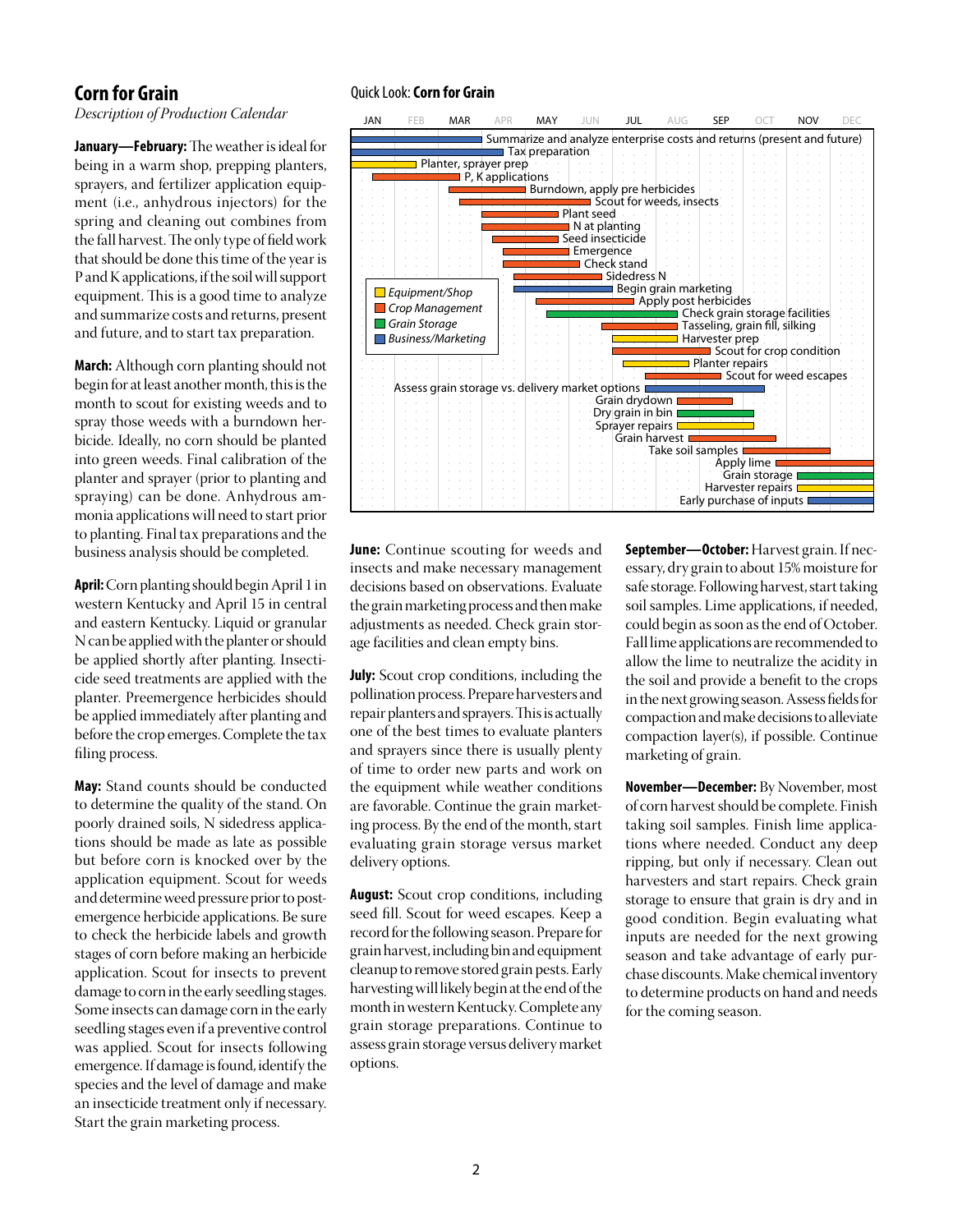## **Corn for Grain**

*Description of Production Calendar*

**January—February:** The weather is ideal for being in a warm shop, prepping planters, sprayers, and fertilizer application equipment (i.e., anhydrous injectors) for the spring and cleaning out combines from the fall harvest.The only type of fieldwork that should be done this time of the year is P and K applications, if the soil will support equipment. This is a good time to analyze and summarize costs and returns, present and future, and to start tax preparation.

**March:** Although corn planting should not begin for at least another month, this is the month to scout for existing weeds and to spray those weeds with a burndown herbicide. Ideally, no corn should be planted into green weeds. Final calibration of the planter and sprayer (prior to planting and spraying) can be done. Anhydrous ammonia applications will need to start prior to planting. Final tax preparations and the business analysis should be completed.

**April:**Corn planting should beginApril 1 in western Kentucky and April 15 in central and eastern Kentucky. Liquid or granular N can be applied with the planter or should be applied shortly after planting. Insecticide seed treatments are applied with the planter. Preemergence herbicides should be applied immediately after planting and before the crop emerges.Complete the tax filing process.

**May:** Stand counts should be conducted to determine the quality of the stand. On poorly drained soils, N sidedress applications should be made as late as possible but before corn is knocked over by the application equipment. Scout for weeds and determine weed pressure prior to postemergence herbicide applications. Be sure to check the herbicide labels and growth stages of corn before making an herbicide application. Scout for insects to prevent damage to corn in the early seedling stages. Some insects can damage corn in the early seedling stages even if a preventive control was applied. Scout for insects following emergence.If damage isfound, identify the species and the level of damage and make an insecticide treatment only if necessary. Start the grain marketing process.

#### Quick Look: **Corn for Grain**



**June:** Continue scouting for weeds and insects and make necessary management decisions based on observations. Evaluate the grain marketing process and then make adjustments as needed. Check grain storage facilities and clean empty bins.

**July:** Scout crop conditions, including the pollination process. Prepare harvesters and repair planters and sprayers. This is actually one of the best times to evaluate planters and sprayers since there is usually plenty of time to order new parts and work on the equipment while weather conditions are favorable. Continue the grain marketing process. By the end of the month, start evaluating grain storage versus market delivery options.

**August:** Scout crop conditions, including seed fill. Scout for weed escapes. Keep a record forthe following season. Prepare for grainharvest, including binandequipment cleanup to remove stored grain pests. Early harvesting will likely begin at the end of the month in western Kentucky. Complete any grain storage preparations. Continue to assess grain storage versus deliverymarket options.

**September—October:** Harvest grain. If necessary, dry grain to about 15%moisture for safe storage. Following harvest, start taking soil samples. Lime applications, if needed, could begin as soon as the end of October. Fall lime applications are recommended to allow the lime to neutralize the acidity in the soil and provide a benefit to the crops in the next growing season. Assess fields for compactionandmakedecisionstoalleviate compaction layer(s), if possible. Continue marketing of grain.

**November—December:** By November, most of corn harvest should be complete. Finish taking soil samples. Finish lime applications where needed. Conduct any deep ripping, but only if necessary. Clean out harvesters and start repairs. Check grain storage to ensure that grain is dry and in good condition. Begin evaluating what inputs are needed for the next growing season and take advantage of early purchase discounts.Make chemical inventory to determine products on hand and needs for the coming season.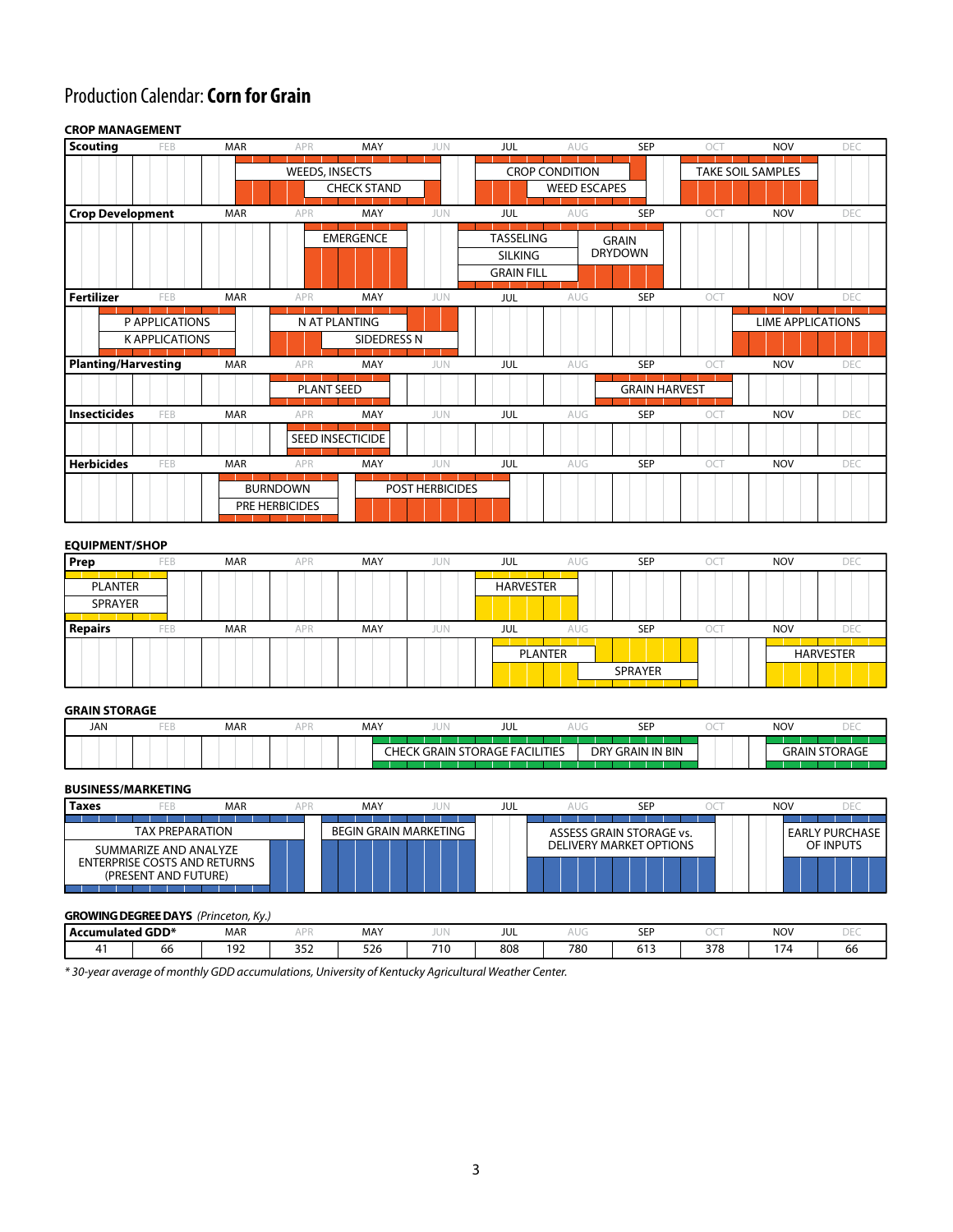# Production Calendar: **Corn for Grain**

#### **CROP MANAGEMENT**

| <b>Scouting</b>     | FEB                                     | <b>MAR</b> | APR                               | MAY                          | JUN             | JUL                                                     | AUG                                          | <b>SEP</b>                     | OCT | <b>NOV</b>               | DEC  |
|---------------------|-----------------------------------------|------------|-----------------------------------|------------------------------|-----------------|---------------------------------------------------------|----------------------------------------------|--------------------------------|-----|--------------------------|------|
|                     |                                         |            | <b>WEEDS, INSECTS</b>             | <b>CHECK STAND</b>           |                 |                                                         | <b>CROP CONDITION</b><br><b>WEED ESCAPES</b> |                                |     | <b>TAKE SOIL SAMPLES</b> |      |
|                     | <b>Crop Development</b>                 | <b>MAR</b> | APR                               | MAY                          | <b>JUN</b>      | JUL                                                     | <b>AUG</b>                                   | SEP                            | OCT | <b>NOV</b>               | DEC  |
|                     |                                         |            |                                   | <b>EMERGENCE</b>             |                 | <b>TASSELING</b><br><b>SILKING</b><br><b>GRAIN FILL</b> |                                              | <b>GRAIN</b><br><b>DRYDOWN</b> |     |                          |      |
| Fertilizer          | FEB                                     | <b>MAR</b> | APR                               | MAY                          | JUN             | JUL                                                     | <b>AUG</b>                                   | <b>SEP</b>                     | OCT | <b>NOV</b>               | DEC. |
|                     | P APPLICATIONS<br><b>K APPLICATIONS</b> |            |                                   | N AT PLANTING<br>SIDEDRESS N |                 |                                                         |                                              |                                |     | <b>LIME APPLICATIONS</b> |      |
|                     | <b>Planting/Harvesting</b>              | <b>MAR</b> | APR                               | MAY                          | <b>JUN</b>      | JUL                                                     | <b>AUG</b>                                   | <b>SEP</b>                     | OCT | <b>NOV</b>               | DEC  |
|                     |                                         |            | <b>PLANT SEED</b>                 |                              |                 |                                                         |                                              | <b>GRAIN HARVEST</b>           |     |                          |      |
| <b>Insecticides</b> | FEB                                     | <b>MAR</b> | APR                               | MAY                          | JUN             | <b>JUL</b>                                              | AUG                                          | <b>SEP</b>                     | OCT | <b>NOV</b>               | DEC  |
|                     |                                         |            |                                   | SEED INSECTICIDE             |                 |                                                         |                                              |                                |     |                          |      |
| <b>Herbicides</b>   | FEB                                     | <b>MAR</b> | APR                               | MAY                          | <b>JUN</b>      | JUL                                                     | AUG                                          | <b>SEP</b>                     | OCT | <b>NOV</b>               | DEC  |
|                     |                                         |            | <b>BURNDOWN</b><br>PRE HERBICIDES |                              | POST HERBICIDES |                                                         |                                              |                                |     |                          |      |

#### **EQUIPMENT/SHOP**

| Prep                      | FEB | <b>MAR</b> | <b>APR</b> | MAY | JUN | JUL              | AUG | SEP        | OCT | <b>NOV</b> | DEC              |
|---------------------------|-----|------------|------------|-----|-----|------------------|-----|------------|-----|------------|------------------|
| PLANTER<br><b>SPRAYER</b> |     |            |            |     |     | <b>HARVESTER</b> |     |            |     |            |                  |
| <b>Repairs</b>            | FEB | <b>MAR</b> | APR        | MAY | JUN | JUL              | AUG | <b>SEP</b> | OCT | <b>NOV</b> | <b>DEC</b>       |
|                           |     |            |            |     |     | PLANTER          |     |            |     |            | <b>HARVESTER</b> |
|                           |     |            |            |     |     |                  |     | SPRAYER    |     |            |                  |

#### **GRAIN STORAGE**

| <b>JAN</b> | <b>Brand Brand</b> | <b>MAR</b> | $\sim$ | <b>MAY</b> | UI           | JUL                     | v                        | <b>SEP</b>             | NOV |       |
|------------|--------------------|------------|--------|------------|--------------|-------------------------|--------------------------|------------------------|-----|-------|
|            |                    |            |        | :HE        | GRAIN<br>، د | <b>FACILI</b><br>TORAGE | ities<br>DR <sup>Y</sup> | <b>IN BIN</b><br>GRAIN | AIN | UKAGE |

#### **BUSINESS/MARKETING**

| <b>Taxes</b><br>FEB                                                                  | <b>MAR</b>             | MAY                          | jun | JUL | SEP                            | <b>NOV</b> |                       |
|--------------------------------------------------------------------------------------|------------------------|------------------------------|-----|-----|--------------------------------|------------|-----------------------|
|                                                                                      | <b>TAX PREPARATION</b> | <b>BEGIN GRAIN MARKETING</b> |     |     | ASSESS GRAIN STORAGE vs.       |            | <b>EARLY PURCHASE</b> |
| SUMMARIZE AND ANALYZE<br><b>ENTERPRISE COSTS AND RETURNS</b><br>(PRESENT AND FUTURE) |                        |                              |     |     | <b>DELIVERY MARKET OPTIONS</b> |            | OF INPUTS             |

#### **GROWING DEGREE DAYS** *(Princeton, Ky.)*

| ____________________    |    | .                          |                     |                             |                 |     |     |                   |     |                                                 |                                         |
|-------------------------|----|----------------------------|---------------------|-----------------------------|-----------------|-----|-----|-------------------|-----|-------------------------------------------------|-----------------------------------------|
| <b>Accumulated GDD*</b> |    | <b>MAR</b>                 |                     | MAY                         | $\sim$ 1        | JUL | コント | CED<br>ᆚ          |     | <b>NOV</b>                                      | <b>COLLEGE AND</b><br>$\sim$ 1.0 $\sim$ |
|                         | 66 | 10 <sup>2</sup><br>u<br>ےر | $\mathbf{a}$<br>∠دد | $\Gamma \cap \Gamma$<br>526 | 71 <sub>C</sub> | 808 | 780 | ---<br><b>UI-</b> | 378 | $\rightarrow$ $\rightarrow$ $\rightarrow$<br>74 | 66                                      |
|                         |    |                            |                     |                             |                 |     |     |                   |     |                                                 |                                         |

*\* 30-year average of monthly GDD accumulations, University of Kentucky Agricultural Weather Center.*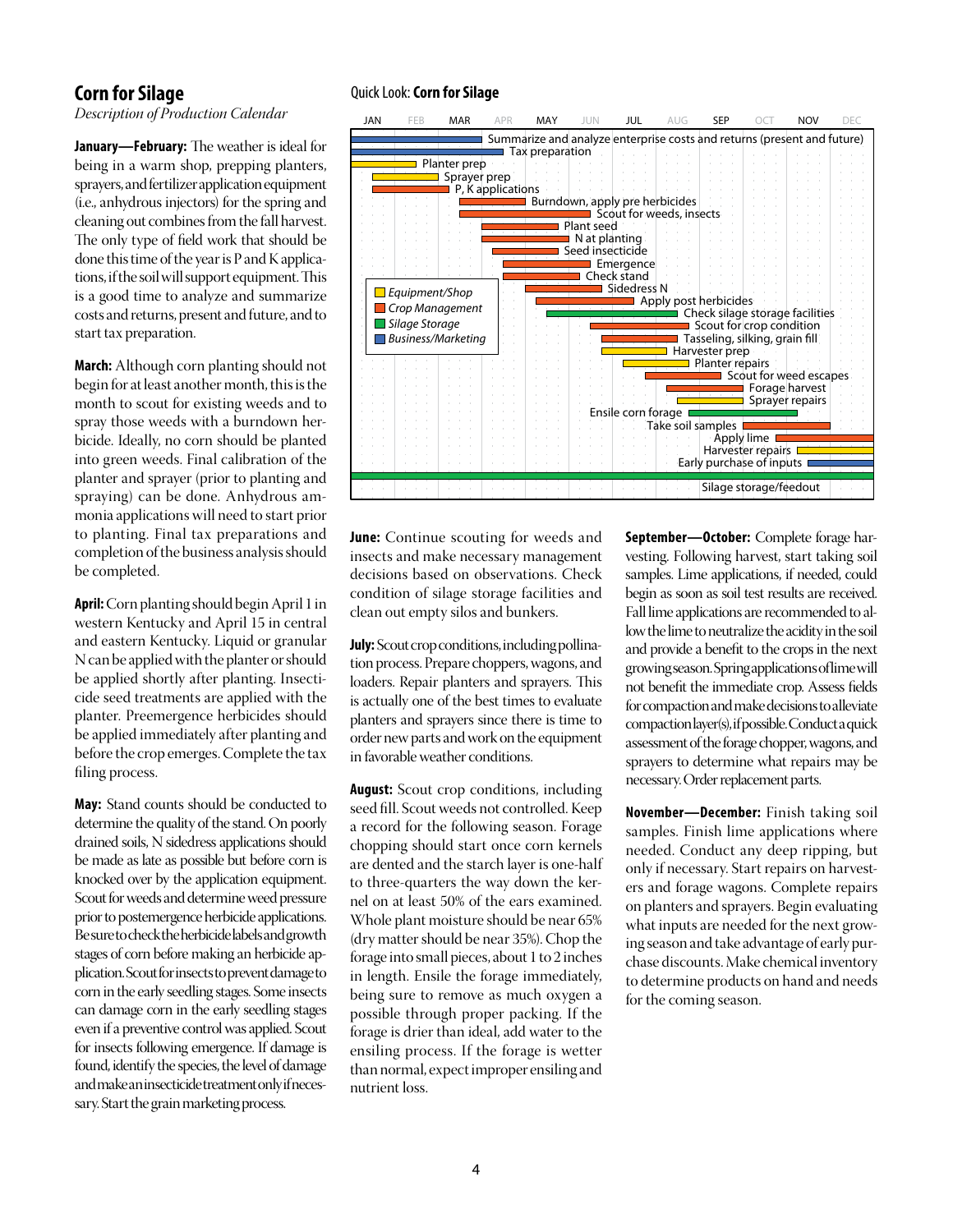## **Corn for Silage**

*Description of Production Calendar*

**January—February:** The weather is ideal for being in a warm shop, prepping planters, sprayers, and fertilizer application equipment (i.e., anhydrous injectors) for the spring and cleaning out combinesfromthe fall harvest. The only type of field work that should be done this time of the year is  $P$  and  $K$  applications, if the soil will support equipment. This is a good time to analyze and summarize costs and returns, present and future, and to start tax preparation.

**March:** Although corn planting should not begin for at least another month, this is the month to scout for existing weeds and to spray those weeds with a burndown herbicide. Ideally, no corn should be planted into green weeds. Final calibration of the planter and sprayer (prior to planting and spraying) can be done. Anhydrous ammonia applications will need to start prior to planting. Final tax preparations and completion of the business analysis should be completed.

**April:** Corn planting should begin April 1 in western Kentucky and April 15 in central and eastern Kentucky. Liquid or granular Ncan be appliedwith the planter orshould be applied shortly after planting. Insecticide seed treatments are applied with the planter. Preemergence herbicides should be applied immediately after planting and before the crop emerges.Complete the tax filing process.

**May:** Stand counts should be conducted to determine the quality of the stand. On poorly drained soils, N sidedress applications should be made as late as possible but before corn is knocked over by the application equipment. Scout for weeds and determine weed pressure prior to postemergence herbicide applications. Besuretochecktheherbicidelabelsandgrowth stages of corn before making an herbicide application.Scoutforinsectstopreventdamageto corn in the early seedling stages. Some insects can damage corn in the early seedling stages even if a preventive control was applied. Scout for insects following emergence. If damage is found, identify the species, the level of damage andmakeaninsecticidetreatmentonlyifnecessary. Start the grain marketing process.

#### Quick Look:**Corn for Silage**



**June:** Continue scouting for weeds and insects and make necessary management decisions based on observations. Check condition of silage storage facilities and clean out empty silos and bunkers.

**July:** Scout crop conditions, including pollination process. Prepare choppers, wagons, and loaders. Repair planters and sprayers. This is actually one of the best times to evaluate planters and sprayers since there is time to order newparts andwork on the equipment in favorableweather conditions.

**August:** Scout crop conditions, including seed fill. Scout weeds not controlled. Keep a record for the following season. Forage chopping should start once corn kernels are dented and the starch layer is one-half to three-quarters the way down the kernel on at least 50% of the ears examined. Whole plant moisture should be near 65% (dry matter should be near 35%). Chop the forage into small pieces, about 1 to 2 inches in length. Ensile the forage immediately, being sure to remove as much oxygen a possible through proper packing. If the forage is drier than ideal, add water to the ensiling process. If the forage is wetter than normal, expectimproper ensiling and nutrient loss.

**September—October:** Complete forage harvesting. Following harvest, start taking soil samples. Lime applications, if needed, could begin as soon as soil test results are received. Fall lime applications are recommended to allow the lime to neutralize the acidity in the soil and provide a benefit to the crops in the next growingseason.Springapplicationsoflimewill not benefit the immediate crop. Assess fields for compaction and make decisions to alleviate compactionlayer(s),ifpossible.Conductaquick assessment of the forage chopper, wagons, and sprayers to determine what repairs may be necessary. Order replacement parts.

**November—December:** Finish taking soil samples. Finish lime applications where needed. Conduct any deep ripping, but only if necessary. Start repairs on harvesters and forage wagons. Complete repairs on planters and sprayers. Begin evaluating what inputs are needed for the next growing season and take advantage of early purchase discounts.Make chemical inventory to determine products on hand and needs for the coming season.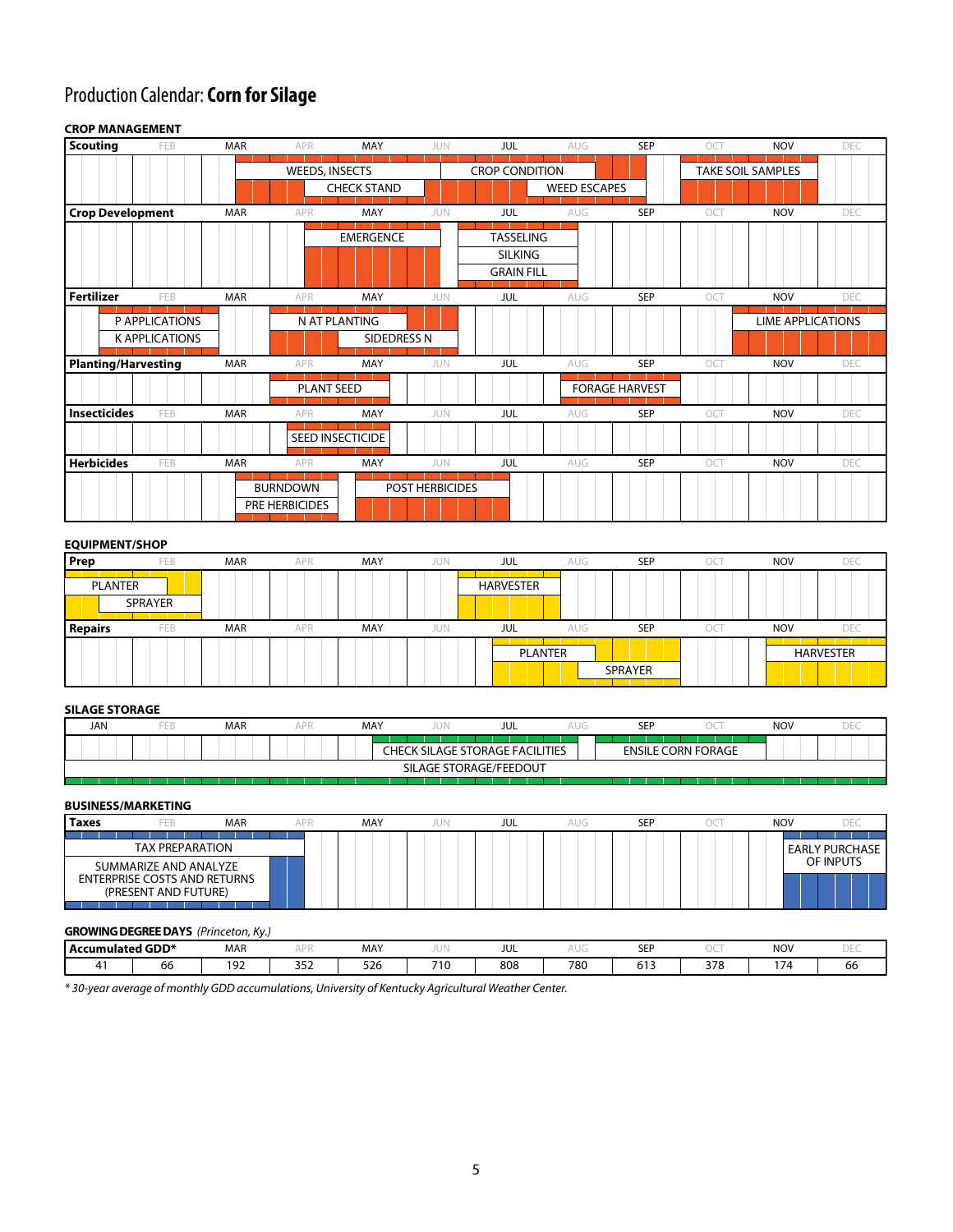# Production Calendar: **Corn for Silage**

#### FEB MAR APR MAY JUN MAR APR MAY JUN FEB MAR APR MAY JUN MAR APR MAY JUN FEB MAR APR MAY JUN FEB MAR APR MAY JUN JUL AUG SEP OCT NOV DEC AUG SEP OCT NOV DEC AUG SEP OCT NOV DEC SEP OCT NOV DEC AUG SEP OCT NOV DEC SEP OCT NOV DEC JUL JUL JUL JUL JUL AUG AU SEED INSECTICIDE PRE HERBICIDES BURNDOWN POST HERBICIDES PLANT SEED **EMERGENCE** WEEDS, INSECTS CHECK STAND P APPLICATIONS NAT PLANTING K APPLICATIONS NE ENTITLE SIDEDRESS N **Crop Development Fertilizer Planting/Harvesting Insecticides Herbicides CROP MANAGEMENT Scouting** FORAGE HARVEST **SILKING** GRAIN FILL **TASSELING** CROP CONDITION WEED ESCAPES TAKE SOIL SAMPLES LIME APPLICATIONS

#### **EQUIPMENT/SHOP**

| Prep           | FEB        | <b>MAR</b> | APR | MAY | JUN | JUL              | AUG | <b>SEP</b>     | ОСТ | <b>NOV</b> |                  |
|----------------|------------|------------|-----|-----|-----|------------------|-----|----------------|-----|------------|------------------|
| PLANTER        | SPRAYER    |            |     |     |     | <b>HARVESTER</b> |     |                |     |            |                  |
| <b>Repairs</b> | <b>FEB</b> | <b>MAR</b> | APR | MAY | JUN | JUL              | AUG | <b>SEP</b>     | ЭC  | <b>NOV</b> | DE(              |
|                |            |            |     |     |     | PLANTER          |     |                |     |            | <b>HARVESTER</b> |
|                |            |            |     |     |     |                  |     | <b>SPRAYER</b> |     |            |                  |

#### **SILAGE STORAGE**

| :HECK                  | <b>SILAGE STORAGE FACILITIES</b> | <b>ENSILE CORN FORAGE</b> |  |  |
|------------------------|----------------------------------|---------------------------|--|--|
| SILAGE STORAGE/FEEDOUT |                                  |                           |  |  |

#### **BUSINESS/MARKETING**

| Taxes | FEB                                                                                  | <b>MAR</b> | MAY | JUN | JUL | aug | SEP | <b>NOV</b> |                       |
|-------|--------------------------------------------------------------------------------------|------------|-----|-----|-----|-----|-----|------------|-----------------------|
|       | <b>TAX PREPARATION</b>                                                               |            |     |     |     |     |     |            | <b>EARLY PURCHASE</b> |
|       | SUMMARIZE AND ANALYZE<br><b>ENTERPRISE COSTS AND RETURNS</b><br>(PRESENT AND FUTURE) |            |     |     |     |     |     |            | OF INPUTS             |

#### **GROWING DEGREE DAYS** *(Princeton, Ky.)*

| Accumulated GDD* |    | <b>MAR</b>                    | $\cdots$                   | MAY               | $\sim$ 1 | <b>JUL</b> |     | $- - -$<br>ᅴ |     | <b>NOV</b> |    |
|------------------|----|-------------------------------|----------------------------|-------------------|----------|------------|-----|--------------|-----|------------|----|
|                  | ಂದ | 10 <sup>2</sup><br>u<br>- - - | $\sim$ $\sim$ $\sim$<br>-- | $-2$<br>526<br>__ | $-11$    | 808        | 780 | ---<br>ິ.    | 270 | 771        | юb |

*\* 30-year average of monthly GDD accumulations, University of Kentucky Agricultural Weather Center.*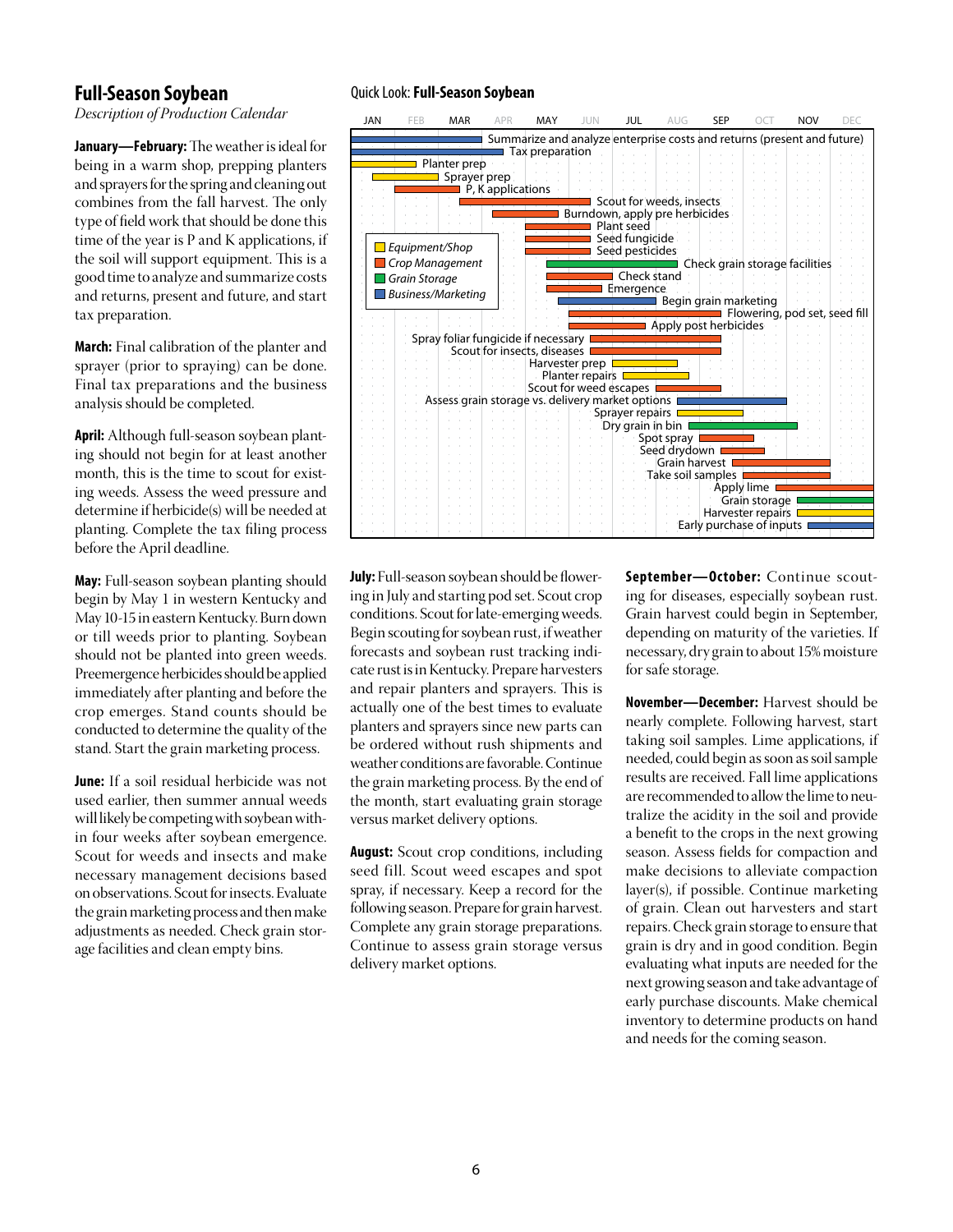### **Full-Season Soybean**

*Description of Production Calendar*

**January-February:** The weather is ideal for being in a warm shop, prepping planters and sprayers for the spring and cleaning out combines from the fall harvest. The only type of field work that should be done this time of the year is P and K applications, if the soil will support equipment. This is a good time to analyze and summarize costs and returns, present and future, and start tax preparation.

**March:** Final calibration of the planter and sprayer (prior to spraying) can be done. Final tax preparations and the business analysis should be completed.

**April:** Although full-season soybean planting should not begin for at least another month, this is the time to scout for existing weeds. Assess the weed pressure and determine if herbicide(s) will be needed at planting. Complete the tax filing process before the April deadline.

**May:** Full-season soybean planting should begin by May 1 in western Kentucky and May 10-15 in eastern Kentucky. Burn down or till weeds prior to planting. Soybean should not be planted into green weeds. Preemergence herbicides should be applied immediately after planting and before the crop emerges. Stand counts should be conducted to determine the quality of the stand. Start the grain marketing process.

**June:** If a soil residual herbicide was not used earlier, then summer annual weeds will likely be competing with soybean within four weeks after soybean emergence. Scout for weeds and insects and make necessary management decisions based on observations. Scout for insects. Evaluate the grain marketing process and then make adjustments as needed. Check grain storage facilities and clean empty bins.

#### Quick Look:**Full-Season Soybean**



**July:** Full-season soybean should be flowering in July and starting pod set. Scout crop conditions. Scout for late-emerging weeds. Begin scouting forsoybean rust, ifweather forecasts and soybean rust tracking indicate rust is in Kentucky. Prepare harvesters and repair planters and sprayers. This is actually one of the best times to evaluate planters and sprayers since new parts can be ordered without rush shipments and weather conditions are favorable.Continue the grain marketing process. By the end of the month, start evaluating grain storage versus market delivery options.

**August:** Scout crop conditions, including seed fill. Scout weed escapes and spot spray, if necessary. Keep a record for the following season. Prepare for grain harvest. Complete any grain storage preparations. Continue to assess grain storage versus delivery market options.

**September—October:** Continue scouting for diseases, especially soybean rust. Grain harvest could begin in September, depending on maturity of the varieties. If necessary, dry grain to about 15%moisture for safe storage.

**November—December:** Harvest should be nearly complete. Following harvest, start taking soil samples. Lime applications, if needed, could begin as soon as soil sample results are received. Fall lime applications are recommended to allowthe lime to neutralize the acidity in the soil and provide a benefit to the crops in the next growing season. Assess fields for compaction and make decisions to alleviate compaction layer(s), if possible. Continue marketing of grain. Clean out harvesters and start repairs.Check grain storage to ensure that grain is dry and in good condition. Begin evaluating what inputs are needed for the next growing season and take advantage of early purchase discounts. Make chemical inventory to determine products on hand and needs for the coming season.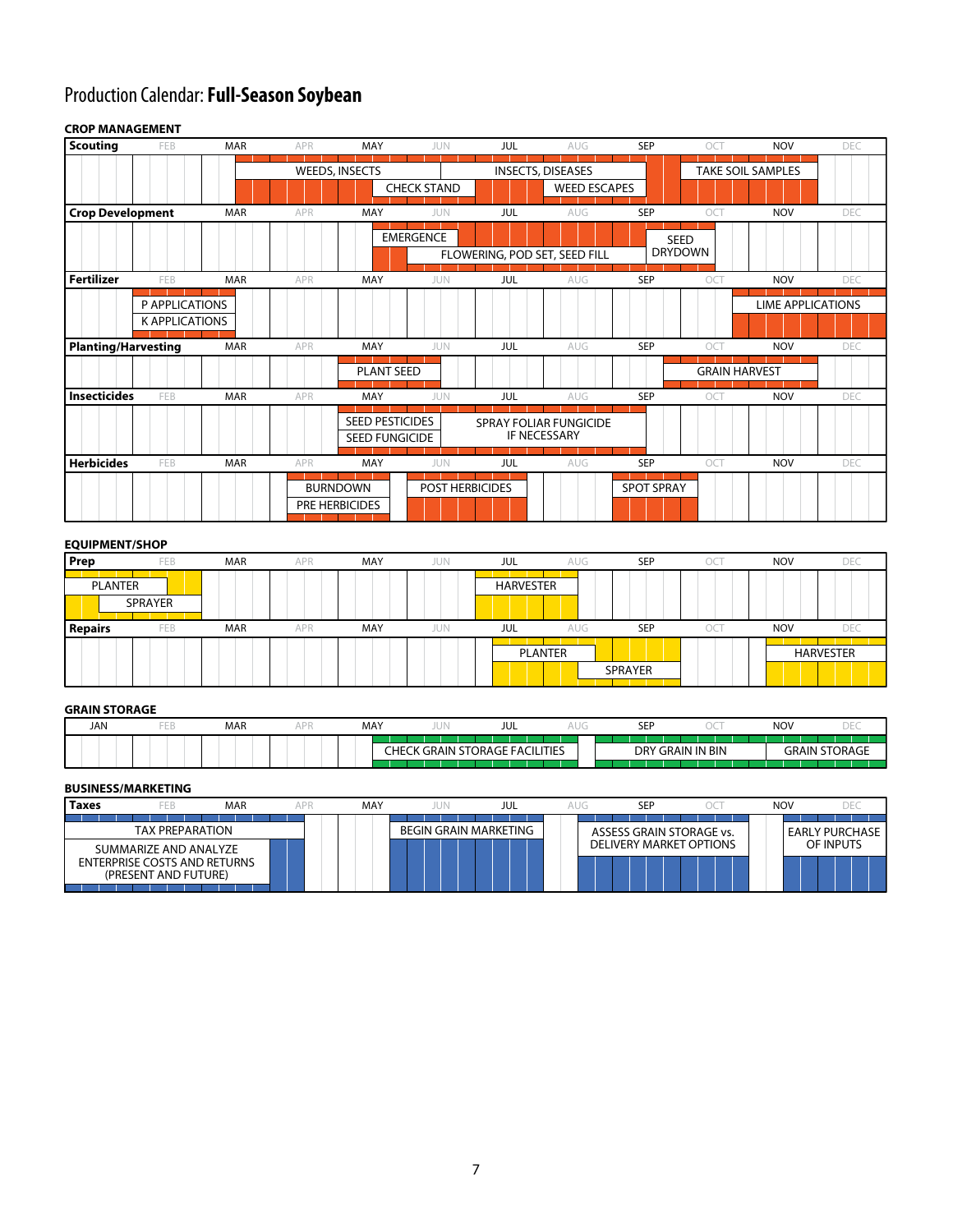# Production Calendar: **Full-Season Soybean**

#### FEB MAR APR MAY JUN MAR APR MAY JUN FEB MAR APR MAY JUN MAR APR MAY JUN FEB MAR APR MAY JUN FEB MAR APR MAY JUN JUL AUG SEP OCT NOV DEC AUG SEP OCT NOV DEC AUG SEP OCT NOV DEC SEP OCT NOV DEC AUG SEP OCT NOV DEC SEP OCT NOV DEC JUL JUL JUL JUL JUL AUG AUG SEED PESTICIDES SEED FUNGICIDE PRE HERBICIDES BURNDOWN POST HERBICIDES SPOT SPRAY PLANT SEED EMERGENCE SEED<br>DRYDOWN SPRAY FOLIAR FUNGICIDE IF NECESSARY WEEDS, INSECTS CHECK STAND P APPLICATIONS K APPLICATIONS **Crop Development Fertilizer Planting/Harvesting Insecticides Herbicides CROP MANAGEMENT Scouting** GRAIN HARVEST FLOWERING, POD SET, SEED FILL INSECTS, DISEASES WEED ESCAPES TAKE SOIL SAMPLES LIME APPLICATIONS

| <b>EQUIPMENT/SHOP</b> |     |            |            |            |            |           |            |                |     |            |                  |
|-----------------------|-----|------------|------------|------------|------------|-----------|------------|----------------|-----|------------|------------------|
| Prep                  | FEB | <b>MAR</b> | APR        | MAY        | <b>JUN</b> | JUL       | <b>AUG</b> | <b>SEP</b>     | ОC  | <b>NOV</b> | DEC              |
| PLANTER<br>SPRAYER    |     |            |            |            |            | HARVESTER |            |                |     |            |                  |
| <b>Repairs</b>        | FEB | <b>MAR</b> | <b>APR</b> | <b>MAY</b> | JUN        | JUL       | AUG        | <b>SEP</b>     | OCT | <b>NOV</b> | DEC              |
|                       |     |            |            |            |            |           | PLANTER    | <b>SPRAYER</b> |     |            | <b>HARVESTER</b> |

#### **GRAIN STORAGE**

| <b>JAN</b> | <b>MAR</b> | MAY | $\sim$                               | JUL |  | <b>SEP</b> |                | NOV          |                |
|------------|------------|-----|--------------------------------------|-----|--|------------|----------------|--------------|----------------|
|            |            | нF  | I STORAGE FACILITIES<br>GRAIN '<br>n |     |  | DRY        | ' GRAIN IN BIN | AIN.<br>'×k، | 11 U<br>TURAGE |
|            |            |     |                                      |     |  |            |                |              |                |

#### **BUSINESS/MARKETING**

| <b>TAX PREPARATION</b><br><b>BEGIN GRAIN MARKETING</b><br>ASSESS GRAIN STORAGE vs.<br><b>DELIVERY MARKET OPTIONS</b><br>SUMMARIZE AND ANALYZE<br><b>ENTERPRISE COSTS AND RETURNS</b> | <b>MAR</b><br>FEB<br>Taxes | APR | MAY | jun | JUL | AUG | SEF | $\mathcal{L}$ | <b>NOV</b> |                    |
|--------------------------------------------------------------------------------------------------------------------------------------------------------------------------------------|----------------------------|-----|-----|-----|-----|-----|-----|---------------|------------|--------------------|
|                                                                                                                                                                                      |                            |     |     |     |     |     |     |               |            | ' EARLY PURCHASE I |
| (PRESENT AND FUTURE)                                                                                                                                                                 |                            |     |     |     |     |     |     |               |            | OF INPUTS          |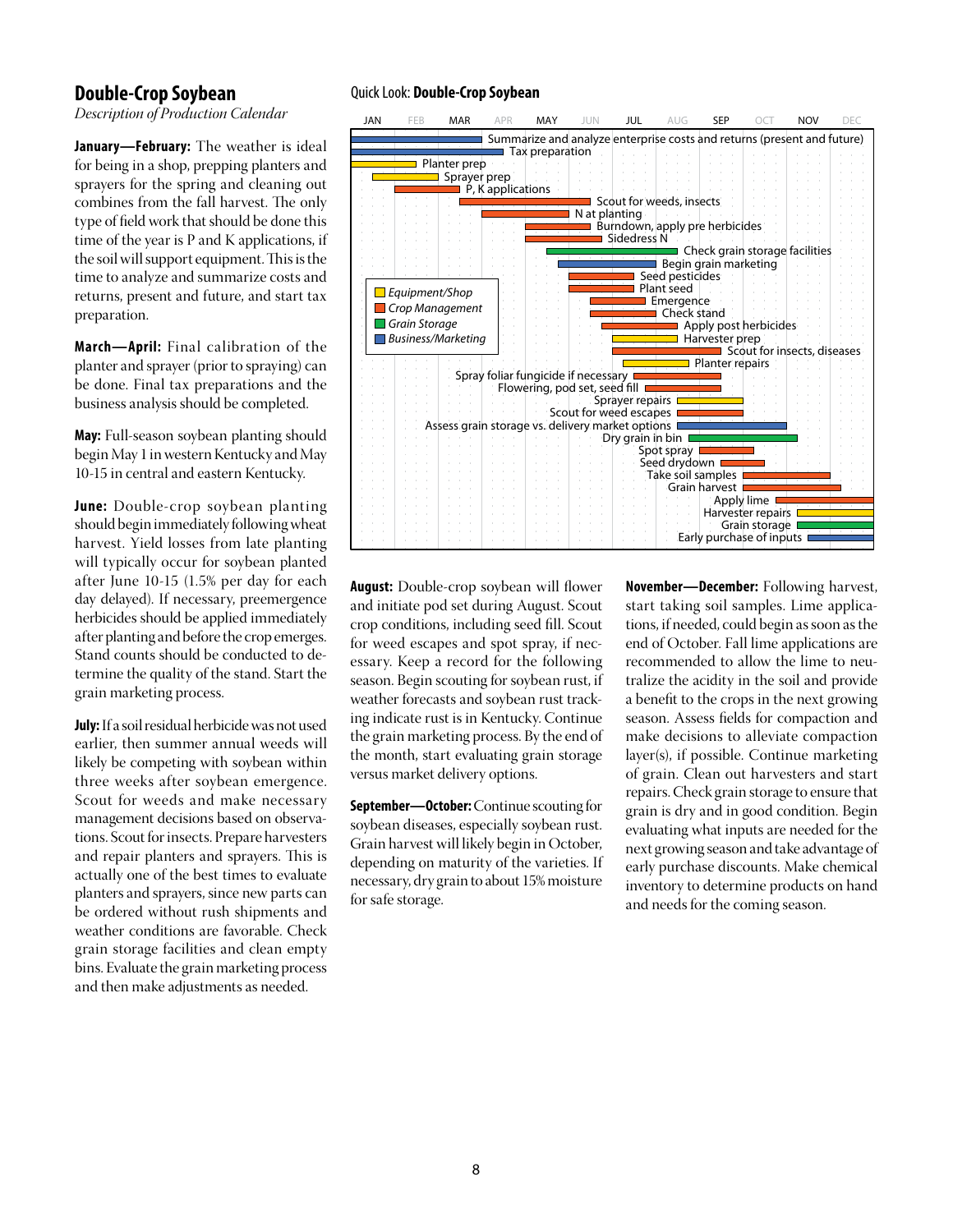### **Double-Crop Soybean**

*Description of Production Calendar*

**January—February:** The weather is ideal for being in a shop, prepping planters and sprayers for the spring and cleaning out combines from the fall harvest. The only type of field work that should be done this time of the year is P and K applications, if the soil will support equipment. This is the time to analyze and summarize costs and returns, present and future, and start tax preparation.

**March—April:** Final calibration of the planter and sprayer(prior to spraying) can be done. Final tax preparations and the business analysis should be completed.

**May:** Full-season soybean planting should begin May 1 in western Kentucky and May 10-15 in central and eastern Kentucky.

**June:** Double-crop soybean planting should begin immediately followingwheat harvest. Yield losses from late planting will typically occur for soybean planted after June 10-15 (1.5% per day for each day delayed). If necessary, preemergence herbicides should be applied immediately after planting and before the crop emerges. Stand counts should be conducted to determine the quality of the stand. Start the grain marketing process.

**July:** If a soil residual herbicide was not used earlier, then summer annual weeds will likely be competing with soybean within three weeks after soybean emergence. Scout for weeds and make necessary management decisions based on observations. Scout for insects. Prepare harvesters and repair planters and sprayers. This is actually one of the best times to evaluate planters and sprayers, since new parts can be ordered without rush shipments and weather conditions are favorable. Check grain storage facilities and clean empty bins. Evaluate the grain marketing process and then make adjustments as needed.

#### Quick Look: **Double-Crop Soybean**



**August:** Double-crop soybean will flower and initiate pod set during August. Scout crop conditions, including seed fill. Scout for weed escapes and spot spray, if necessary. Keep a record for the following season. Begin scouting for soybean rust, if weather forecasts and soybean rust tracking indicate rust is in Kentucky. Continue the grain marketing process. By the end of the month, start evaluating grain storage versus market delivery options.

**September—October:**Continue scouting for soybean diseases, especially soybean rust. Grain harvest will likely begin in October, depending on maturity of the varieties. If necessary, dry grain to about 15%moisture for safe storage.

**November—December:** Following harvest, start taking soil samples. Lime applications, if needed, could begin as soon as the end of October. Fall lime applications are recommended to allow the lime to neutralize the acidity in the soil and provide a benefit to the crops in the next growing season. Assess fields for compaction and make decisions to alleviate compaction layer(s), if possible. Continue marketing of grain. Clean out harvesters and start repairs.Check grain storage to ensure that grain is dry and in good condition. Begin evaluating what inputs are needed for the next growing season and take advantage of early purchase discounts. Make chemical inventory to determine products on hand and needs for the coming season.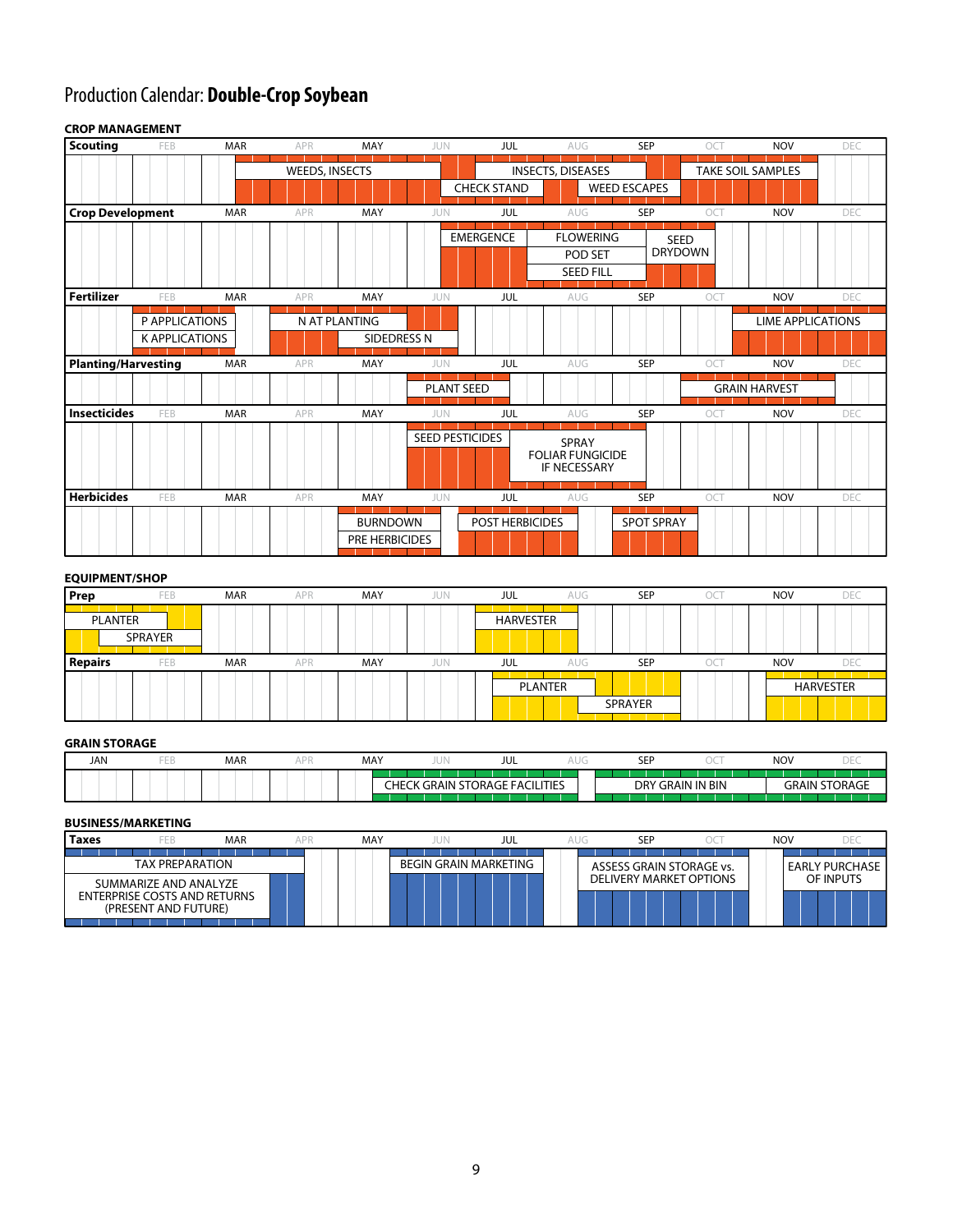# Production Calendar: **Double-Crop Soybean**

#### FEB MAR APR MAY JUN MAR APR MAY JUN FEB MAR APR MAY JUN MAR APR MAY JUN FEB MAR APR MAY JUN FEB MAR APR MAY JUN JUL AUG SEP OCT NOV DEC AUG SEP OCT NOV DEC AUG SEP OCT NOV DEC SEP OCT NOV DEC AUG SEP OCT NOV DEC SEP OCT NOV DEC JUL JUL JUL JUL JUL AUG AUG SEED PESTICIDES PRE HERBICIDES BURNDOWN POST HERBICIDES SPOT SPRAY PLANT SEED EMERGENCE | FLOWERING | SEED SEED<br>DRYDOWN SPRAY FOLIAR FUNGICIDE IF NECESSARY WEEDS, INSECTS CHECK STAND P APPLICATIONS NAT PLANTING K APPLICATIONS **SIDEDRESS N Crop Development Fertilizer Planting/Harvesting Insecticides Herbicides Scouting** GRAIN HARVEST POD SET SEED FILL INSECTS, DISEASES WEED ESCAPES TAKE SOIL SAMPLES LIME APPLICATIONS

#### **CROP MANAGEMENT**

#### **EQUIPMENT/SHOP**

| Prep           | FEB            | <b>MAR</b> | APR | MAY | <b>JUN</b> | <b>JUL</b>       | <b>AUG</b> | <b>SEP</b> | OCT | <b>NOV</b> | <b>DEC</b>       |
|----------------|----------------|------------|-----|-----|------------|------------------|------------|------------|-----|------------|------------------|
| PLANTER        | <b>SPRAYER</b> |            |     |     |            | <b>HARVESTER</b> |            |            |     |            |                  |
| <b>Repairs</b> | FEB            | <b>MAR</b> | APR | MAY | JUN        | JUL              | AUG        | <b>SEP</b> | OCT | <b>NOV</b> | <b>DEC</b>       |
|                |                |            |     |     |            | PLANTER          |            | SPRAYER    |     |            | <b>HARVESTER</b> |

#### **GRAIN STORAGE**

| <b>JAN</b> | <b>MAR</b> | MAY | $\cup$ 1     | JUL                     | <b>CED</b><br>ᅩ |                | <b>NOV</b> |               |
|------------|------------|-----|--------------|-------------------------|-----------------|----------------|------------|---------------|
|            |            |     |              |                         |                 |                |            |               |
|            |            | Ηŀ  | GRAIN 1<br>n | FACILITIES<br>STORAGE F | DRY             | ' GRAIN IN BIN | AIN<br>⊣∩⊏ | <b>LORAGE</b> |
|            |            |     |              |                         |                 |                |            |               |

#### **BUSINESS/MARKETING**

| Taxes<br>FEB                                                                         | <b>MAR</b> | MAY | jun                   | JUL | SEP                            | <b>NOV</b> |                |
|--------------------------------------------------------------------------------------|------------|-----|-----------------------|-----|--------------------------------|------------|----------------|
| <b>TAX PREPARATION</b>                                                               |            |     | BEGIN GRAIN MARKETING |     | ASSESS GRAIN STORAGE vs.       |            | EARLY PURCHASE |
| SUMMARIZE AND ANALYZE<br><b>ENTERPRISE COSTS AND RETURNS</b><br>(PRESENT AND FUTURE) |            |     |                       |     | <b>DELIVERY MARKET OPTIONS</b> |            | OF INPUTS      |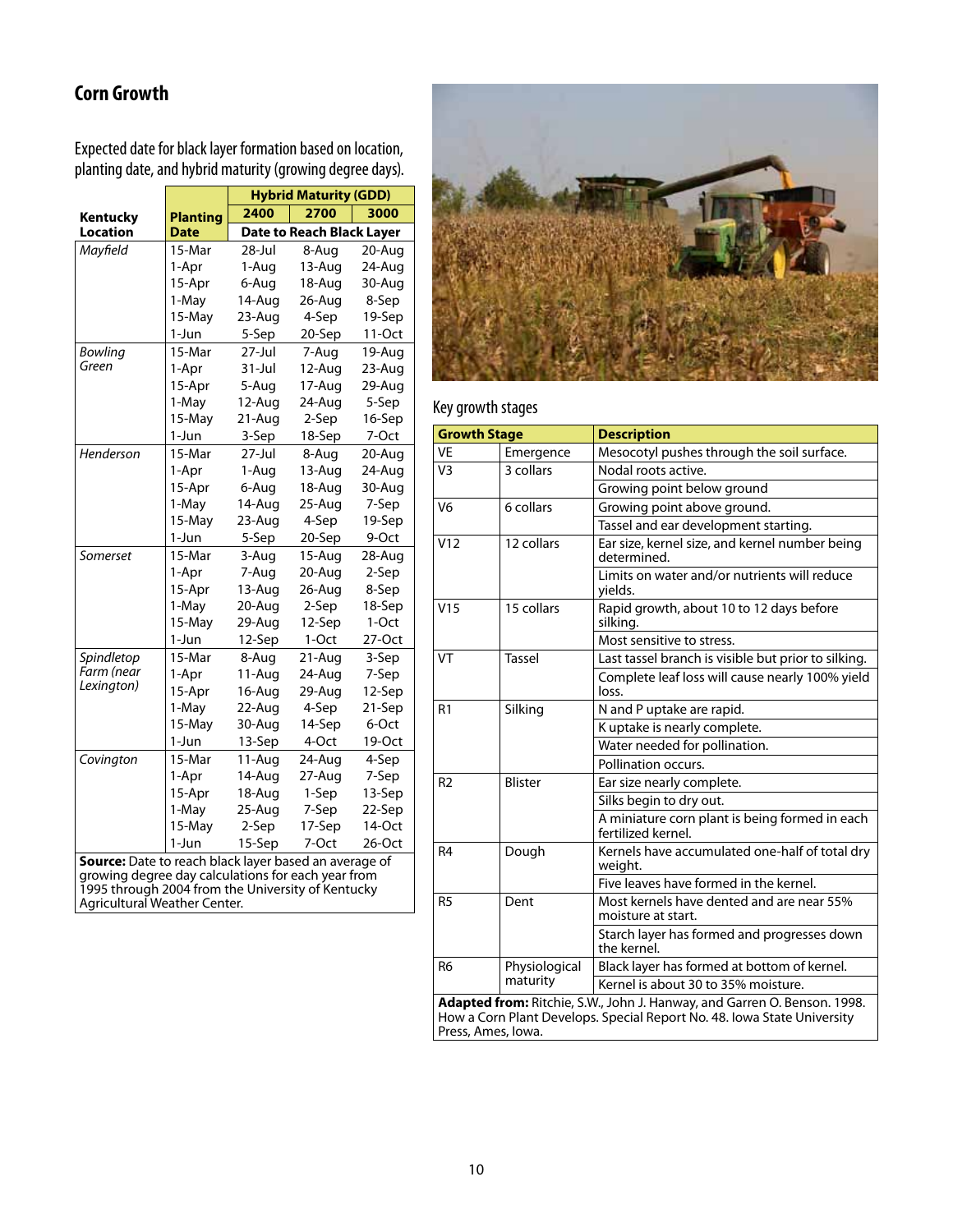# **Corn Growth**

Expected date for black layer formation based on location, planting date, and hybrid maturity (growing degree days).

|                                                                                                             |                 |            | <b>Hybrid Maturity (GDD)</b>     |        |
|-------------------------------------------------------------------------------------------------------------|-----------------|------------|----------------------------------|--------|
| Kentucky                                                                                                    | <b>Planting</b> | 2400       | 2700                             | 3000   |
| Location                                                                                                    | <b>Date</b>     |            | <b>Date to Reach Black Layer</b> |        |
| Mayfield                                                                                                    | 15-Mar          | $28 -$ Jul | 8-Aug                            | 20-Aug |
|                                                                                                             | 1-Apr           | 1-Aug      | 13-Aug                           | 24-Aug |
|                                                                                                             | 15-Apr          | 6-Aug      | 18-Aug                           | 30-Aug |
|                                                                                                             | 1-May           | 14-Aug     | 26-Aug                           | 8-Sep  |
|                                                                                                             | 15-May          | 23-Aug     | 4-Sep                            | 19-Sep |
|                                                                                                             | 1-Jun           | 5-Sep      | 20-Sep                           | 11-Oct |
| Bowling                                                                                                     | 15-Mar          | $27 -$ Jul | 7-Aug                            | 19-Aug |
| Green                                                                                                       | 1-Apr           | 31-Jul     | 12-Aug                           | 23-Aug |
|                                                                                                             | 15-Apr          | 5-Aug      | 17-Aug                           | 29-Aug |
|                                                                                                             | 1-May           | 12-Aug     | 24-Aug                           | 5-Sep  |
|                                                                                                             | 15-May          | 21-Aug     | 2-Sep                            | 16-Sep |
|                                                                                                             | 1-Jun           | 3-Sep      | 18-Sep                           | 7-Oct  |
| Henderson                                                                                                   | 15-Mar          | 27-Jul     | 8-Aug                            | 20-Aug |
|                                                                                                             | 1-Apr           | 1-Aug      | 13-Aug                           | 24-Aug |
|                                                                                                             | 15-Apr          | 6-Aug      | 18-Aug                           | 30-Aug |
|                                                                                                             | 1-May           | 14-Aug     | 25-Aug                           | 7-Sep  |
|                                                                                                             | 15-May          | 23-Aug     | 4-Sep                            | 19-Sep |
|                                                                                                             | 1-Jun           | 5-Sep      | 20-Sep                           | 9-Oct  |
| Somerset                                                                                                    | 15-Mar          | 3-Aug      | 15-Aug                           | 28-Aug |
|                                                                                                             | 1-Apr           | 7-Aug      | 20-Aug                           | 2-Sep  |
|                                                                                                             | 15-Apr          | 13-Aug     | 26-Aug                           | 8-Sep  |
|                                                                                                             | 1-May           | 20-Aug     | 2-Sep                            | 18-Sep |
|                                                                                                             | 15-May          | 29-Aug     | 12-Sep                           | 1-Oct  |
|                                                                                                             | 1-Jun           | 12-Sep     | 1-Oct                            | 27-Oct |
| Spindletop                                                                                                  | 15-Mar          | 8-Aug      | 21-Aug                           | 3-Sep  |
| Farm (near<br>Lexington)                                                                                    | 1-Apr           | 11-Aug     | 24-Aug                           | 7-Sep  |
|                                                                                                             | 15-Apr          | 16-Aug     | 29-Aug                           | 12-Sep |
|                                                                                                             | 1-May           | 22-Aug     | 4-Sep                            | 21-Sep |
|                                                                                                             | 15-May          | 30-Aug     | 14-Sep                           | 6-Oct  |
|                                                                                                             | 1-Jun           | 13-Sep     | 4-Oct                            | 19-Oct |
| Covington                                                                                                   | 15-Mar          | 11-Aug     | 24-Aug                           | 4-Sep  |
|                                                                                                             | 1-Apr           | 14-Aug     | 27-Aug                           | 7-Sep  |
|                                                                                                             | 15-Apr          | 18-Aug     | 1-Sep                            | 13-Sep |
|                                                                                                             | 1-May           | 25-Aug     | 7-Sep                            | 22-Sep |
|                                                                                                             | 15-May          | 2-Sep      | 17-Sep                           | 14-Oct |
|                                                                                                             | 1-Jun           | 15-Sep     | 7-Oct                            | 26-Oct |
| Source: Date to reach black layer based an average of<br>arowing degree day calculations for each year from |                 |            |                                  |        |

growing degree day calculations for each year from 1995 through 2004 from the University of Kentucky Agricultural Weather Center.



## Key growth stages

| <b>Growth Stage</b> |                | <b>Description</b>                                                                                                                                  |
|---------------------|----------------|-----------------------------------------------------------------------------------------------------------------------------------------------------|
| <b>VE</b>           | Emergence      | Mesocotyl pushes through the soil surface.                                                                                                          |
| V <sub>3</sub>      | 3 collars      | Nodal roots active.                                                                                                                                 |
|                     |                | Growing point below ground                                                                                                                          |
| V <sub>6</sub>      | 6 collars      | Growing point above ground.                                                                                                                         |
|                     |                | Tassel and ear development starting.                                                                                                                |
| V12                 | 12 collars     | Ear size, kernel size, and kernel number being<br>determined.                                                                                       |
|                     |                | Limits on water and/or nutrients will reduce<br>yields.                                                                                             |
| V15                 | 15 collars     | Rapid growth, about 10 to 12 days before<br>silking.                                                                                                |
|                     |                | Most sensitive to stress.                                                                                                                           |
| VT                  | Tassel         | Last tassel branch is visible but prior to silking.                                                                                                 |
|                     |                | Complete leaf loss will cause nearly 100% yield<br>loss.                                                                                            |
| R <sub>1</sub>      | Silking        | N and P uptake are rapid.                                                                                                                           |
|                     |                | K uptake is nearly complete.                                                                                                                        |
|                     |                | Water needed for pollination.                                                                                                                       |
|                     |                | Pollination occurs.                                                                                                                                 |
| R <sub>2</sub>      | <b>Blister</b> | Ear size nearly complete.                                                                                                                           |
|                     |                | Silks begin to dry out.                                                                                                                             |
|                     |                | A miniature corn plant is being formed in each<br>fertilized kernel.                                                                                |
| R <sub>4</sub>      | Dough          | Kernels have accumulated one-half of total dry<br>weight.                                                                                           |
|                     |                | Five leaves have formed in the kernel.                                                                                                              |
| R <sub>5</sub>      | Dent           | Most kernels have dented and are near 55%<br>moisture at start.                                                                                     |
|                     |                | Starch layer has formed and progresses down<br>the kernel.                                                                                          |
| R <sub>6</sub>      | Physiological  | Black layer has formed at bottom of kernel.                                                                                                         |
|                     | maturity       | Kernel is about 30 to 35% moisture.                                                                                                                 |
| Press, Ames, Iowa.  |                | Adapted from: Ritchie, S.W., John J. Hanway, and Garren O. Benson. 1998.<br>How a Corn Plant Develops. Special Report No. 48. Iowa State University |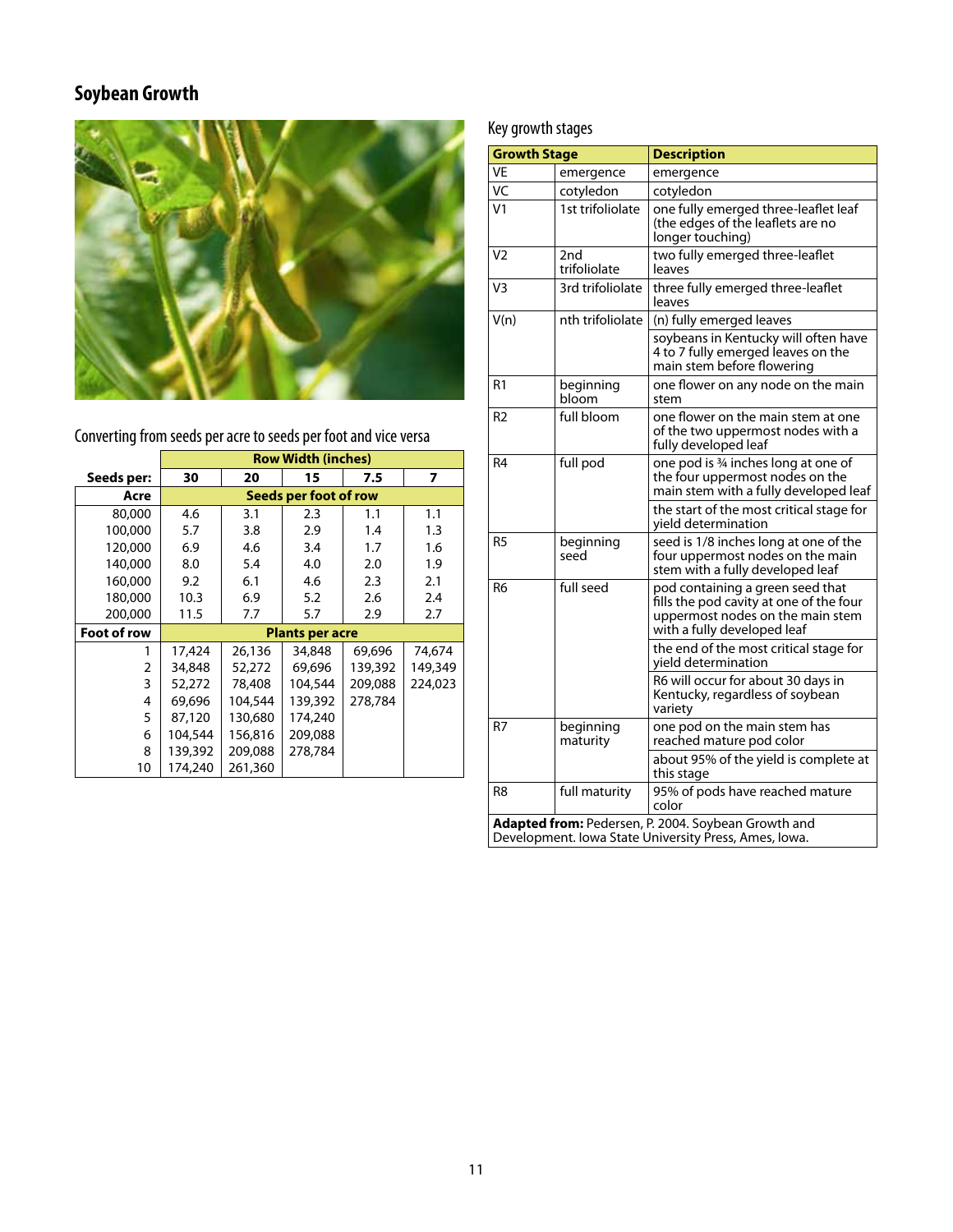# **Soybean Growth**



Converting from seeds per acre to seeds per foot and vice versa

|             |         |         | <b>Row Width (inches)</b> |         |         |
|-------------|---------|---------|---------------------------|---------|---------|
| Seeds per:  | 30      | 20      | 15                        | 7.5     | 7       |
| Acre        |         |         | Seeds per foot of row     |         |         |
| 80,000      | 4.6     | 3.1     | 2.3                       | 1.1     | 1.1     |
| 100,000     | 5.7     | 3.8     | 2.9                       | 1.4     | 1.3     |
| 120,000     | 6.9     | 4.6     | 3.4                       | 1.7     | 1.6     |
| 140,000     | 8.0     | 5.4     | 4.0                       | 2.0     | 1.9     |
| 160,000     | 9.2     | 6.1     | 4.6                       | 2.3     | 2.1     |
| 180,000     | 10.3    | 6.9     | 5.2                       | 2.6     | 2.4     |
| 200,000     | 11.5    | 7.7     | 5.7                       | 2.9     | 2.7     |
| Foot of row |         |         | <b>Plants per acre</b>    |         |         |
|             | 17,424  | 26,136  | 34,848                    | 69.696  | 74,674  |
| 2           | 34,848  | 52,272  | 69,696                    | 139,392 | 149,349 |
| 3           | 52,272  | 78,408  | 104,544                   | 209,088 | 224,023 |
| 4           | 69.696  | 104,544 | 139,392                   | 278,784 |         |
| 5           | 87,120  | 130,680 | 174,240                   |         |         |
| 6           | 104,544 | 156,816 | 209,088                   |         |         |
| 8           | 139,392 | 209,088 | 278,784                   |         |         |
| 10          | 174,240 | 261,360 |                           |         |         |

# Key growth stages

| <b>Growth Stage</b> |                       | <b>Description</b>                                                                                                                             |
|---------------------|-----------------------|------------------------------------------------------------------------------------------------------------------------------------------------|
| VE                  | emergence             | emergence                                                                                                                                      |
| VC                  | cotyledon             | cotyledon                                                                                                                                      |
| V <sub>1</sub>      | 1st trifoliolate      | one fully emerged three-leaflet leaf<br>(the edges of the leaflets are no<br>longer touching)                                                  |
| V <sub>2</sub>      | 2nd<br>trifoliolate   | two fully emerged three-leaflet<br>leaves                                                                                                      |
| V <sub>3</sub>      | 3rd trifoliolate      | three fully emerged three-leaflet<br>leaves                                                                                                    |
| V(n)                | nth trifoliolate      | (n) fully emerged leaves                                                                                                                       |
|                     |                       | soybeans in Kentucky will often have<br>4 to 7 fully emerged leaves on the<br>main stem before flowering                                       |
| R <sub>1</sub>      | beginning<br>bloom    | one flower on any node on the main<br>stem                                                                                                     |
| R <sub>2</sub>      | full bloom            | one flower on the main stem at one<br>of the two uppermost nodes with a<br>fully developed leaf                                                |
| R4                  | full pod              | one pod is 34 inches long at one of<br>the four uppermost nodes on the<br>main stem with a fully developed leaf                                |
|                     |                       | the start of the most critical stage for<br>yield determination                                                                                |
| R5                  | beginning<br>seed     | seed is 1/8 inches long at one of the<br>four uppermost nodes on the main<br>stem with a fully developed leaf                                  |
| R6                  | full seed             | pod containing a green seed that<br>fills the pod cavity at one of the four<br>uppermost nodes on the main stem<br>with a fully developed leaf |
|                     |                       | the end of the most critical stage for<br>yield determination                                                                                  |
|                     |                       | R6 will occur for about 30 days in<br>Kentucky, regardless of soybean<br>variety                                                               |
| R7                  | beginning<br>maturity | one pod on the main stem has<br>reached mature pod color                                                                                       |
|                     |                       | about 95% of the yield is complete at<br>this stage                                                                                            |
| R <sub>8</sub>      | full maturity         | 95% of pods have reached mature<br>color                                                                                                       |
|                     |                       | Adapted from: Pedersen, P. 2004. Soybean Growth and<br>Development. Iowa State University Press, Ames, Iowa.                                   |